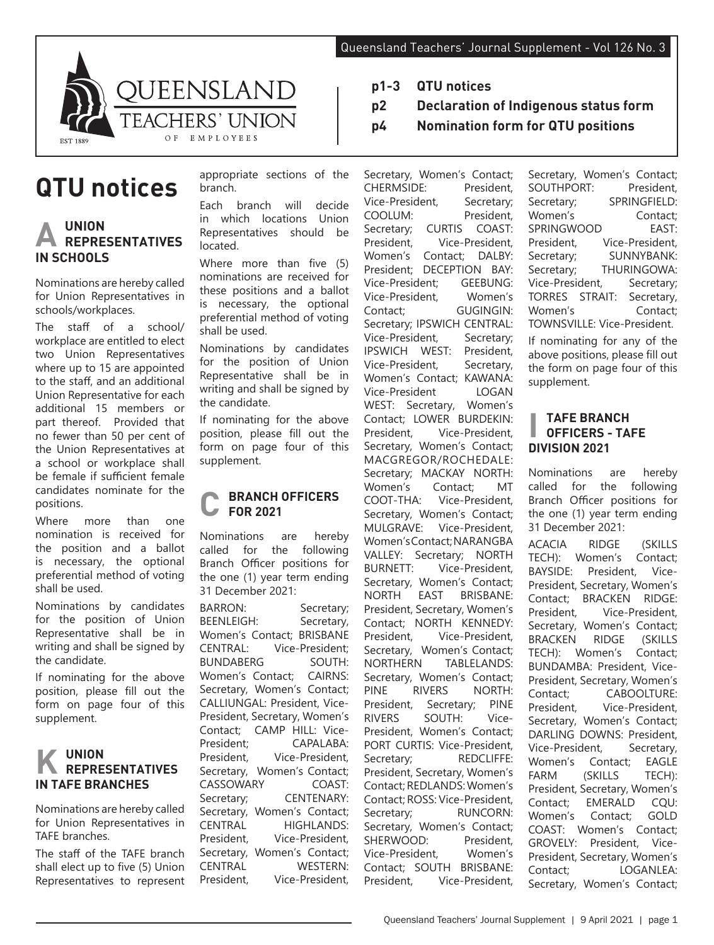

# **QTU notices**

# **A UNION REPRESENTATIVES IN SCHOOLS**

Nominations are hereby called for Union Representatives in schools/workplaces.

The staff of a school/ workplace are entitled to elect two Union Representatives where up to 15 are appointed to the staff, and an additional Union Representative for each additional 15 members or part thereof. Provided that no fewer than 50 per cent of the Union Representatives at a school or workplace shall be female if sufficient female candidates nominate for the positions.

Where more than one nomination is received for the position and a ballot is necessary, the optional preferential method of voting shall be used.

Nominations by candidates for the position of Union Representative shall be in writing and shall be signed by the candidate.

If nominating for the above position, please fill out the form on page four of this supplement.

# **K UNION REPRESENTATIVES IN TAFE BRANCHES**

Nominations are hereby called for Union Representatives in TAFE branches.

The staff of the TAFE branch shall elect up to five (5) Union Representatives to represent

appropriate sections of the branch.

Each branch will decide in which locations Union Representatives should be located.

Where more than five (5) nominations are received for these positions and a ballot is necessary, the optional preferential method of voting shall be used.

Nominations by candidates for the position of Union Representative shall be in writing and shall be signed by the candidate.

If nominating for the above position, please fill out the form on page four of this supplement.

#### **C BRANCH OFFICERS FOR 2021**

Nominations are hereby called for the following Branch Officer positions for the one (1) year term ending 31 December 2021:

BARRON: Secretary;<br>
BEENLEIGH: Secretary Secretary, Women's Contact; BRISBANE CENTRAL: Vice-President; **BUNDABERG** Women's Contact; CAIRNS: Secretary, Women's Contact; CALLIUNGAL: President, Vice-President, Secretary, Women's Contact; CAMP HILL: Vice-President; CAPALABA: President, Vice-President, Secretary, Women's Contact; CASSOWARY COAST: Secretary: **CENTENARY:** Secretary, Women's Contact; CENTRAL HIGHLANDS: President, Vice-President, Secretary, Women's Contact; CENTRAL WESTERN: President, Vice-President,

- **p1-3 QTU notices**
- **p2 Declaration of Indigenous status form**
- **p4 Nomination form for QTU positions**

Secretary, Women's Contact;<br>CHERMSIDE: President, CHERMSIDE: President,<br>Vice-President. Secretary: Vice-President,<br>COOLUM: COOLUM: President,<br>Secretary: CURTIS COAST: CURTIS COAST: President, Vice-President, Women's Contact; DALBY: President; DECEPTION BAY: Vice-President; GEEBUNG:<br>Vice-President Women's Vice-President,<br>Contact; GUGINGIN: Secretary; IPSWICH CENTRAL:<br>Vice-President, Secretary; Vice-President, IPSWICH WEST: President, Vice-President, Secretary, Women's Contact; KAWANA:<br>Vice-President LOGAN Vice-President WEST: Secretary, Women's Contact; LOWER BURDEKIN:<br>President. Vice-President. President, Vice-President, Secretary, Women's Contact; MACGREGOR/ROCHEDALE: Secretary; MACKAY NORTH: Women's Contact; MT COOT-THA: Vice-President, Secretary, Women's Contact; MULGRAVE: Vice-President, Women's Contact; NARANGBA VALLEY: Secretary; NORTH BURNETT: Vice-President, Secretary, Women's Contact; NORTH EAST BRISBANE: President, Secretary, Women's Contact; NORTH KENNEDY: President, Vice-President, Secretary, Women's Contact; NORTHERN TABLELANDS: Secretary, Women's Contact; PINE RIVERS NORTH: President, Secretary; PINE RIVERS SOUTH: Vice-President, Women's Contact: PORT CURTIS: Vice-President, Secretary: REDCLIFFE: President, Secretary, Women's Contact; REDLANDS: Women's Contact; ROSS: Vice-President, Secretary: RUNCORN: Secretary, Women's Contact; SHERWOOD: President, Vice-President, Women's Contact; SOUTH BRISBANE: President, Vice-President,

Secretary, Women's Contact;<br>SOUTHPORT: President. SOUTHPORT:<br>Secretary: SPRINGFIELD: Women's Contact;<br>SPRINGWOOD EAST: SPRINGWOOD President, Vice-President,<br>Secretary; SUNNYBANK: SUNNYBANK: Secretary; THURINGOWA: Vice-President, Secretary; TORRES STRAIT: Secretary,<br>Women's Contact: Contact; TOWNSVILLE: Vice-President.

If nominating for any of the above positions, please fill out the form on page four of this supplement.

## **I TAFE BRANCH OFFICERS - TAFE DIVISION 2021**

Nominations are hereby called for the following Branch Officer positions for the one (1) year term ending 31 December 2021:

ACACIA RIDGE (SKILLS TECH): Women's Contact; BAYSIDE: President, Vice-President, Secretary, Women's Contact; BRACKEN RIDGE:<br>President Vice-President President, Vice-President, Secretary, Women's Contact; BRACKEN RIDGE (SKILLS TECH): Women's Contact; BUNDAMBA: President, Vice-President, Secretary, Women's Contact; CABOOLTURE:<br>President. Vice-President. Vice-President, Secretary, Women's Contact; DARLING DOWNS: President, Vice-President, Secretary, Women's Contact; EAGLE<br>FARM (SKILLS TECH): (SKILLS TECH): President, Secretary, Women's Contact; EMERALD CQU: Women's Contact; GOLD COAST: Women's Contact; GROVELY: President, Vice-President, Secretary, Women's Contact; LOGANLEA: Secretary, Women's Contact;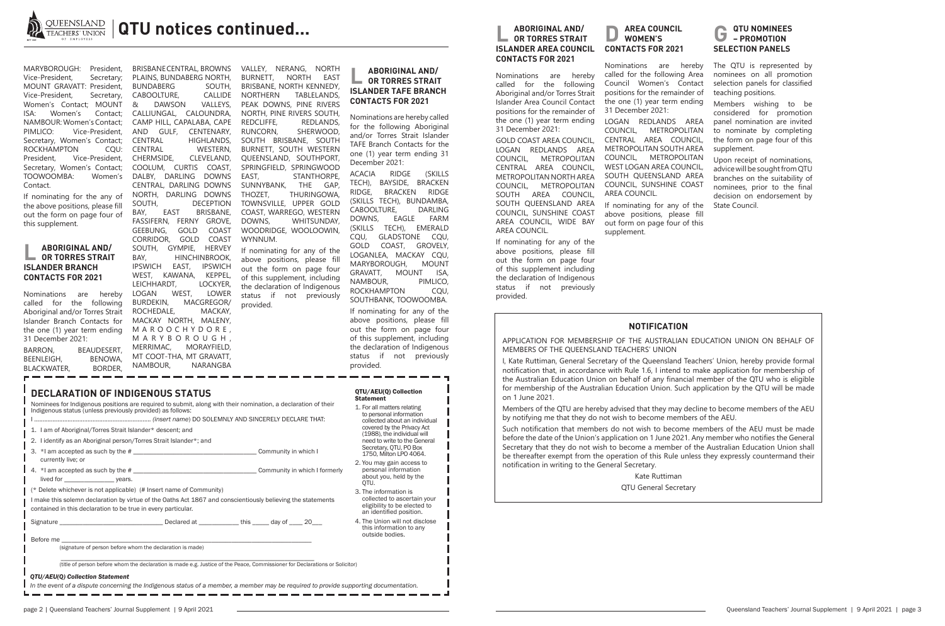

| <b>DECLARATION OF INDIGENOUS STATUS</b><br>Nominees for Indigenous positions are required to submit, along with their nomination, a declaration of their<br>Indigenous status (unless previously provided) as follows:<br>1. I am of Aboriginal/Torres Strait Islander* descent; and<br>2. I identify as an Aboriginal person/Torres Strait Islander*; and |  | QTU/AEU(Q) Collection<br><b>Statement</b><br>1. For all matters relating<br>to personal information<br>collected about an individual<br>covered by the Privacy Act<br>(1988), the individual will<br>need to write to the General |
|------------------------------------------------------------------------------------------------------------------------------------------------------------------------------------------------------------------------------------------------------------------------------------------------------------------------------------------------------------|--|-----------------------------------------------------------------------------------------------------------------------------------------------------------------------------------------------------------------------------------|
|                                                                                                                                                                                                                                                                                                                                                            |  | Secretary, QTU, PO Box<br>1750, Milton LPO 4064.                                                                                                                                                                                  |
| currently live; or<br>lived for ___________________ years.                                                                                                                                                                                                                                                                                                 |  | 2. You may gain access to<br>personal information<br>about you, held by the<br>QTU.                                                                                                                                               |
| (* Delete whichever is not applicable) (# Insert name of Community)                                                                                                                                                                                                                                                                                        |  | 3. The information is<br>collected to ascertain your<br>eligibility to be elected to<br>an identified position.                                                                                                                   |
| I make this solemn declaration by virtue of the Oaths Act 1867 and conscientiously believing the statements<br>contained in this declaration to be true in every particular.                                                                                                                                                                               |  |                                                                                                                                                                                                                                   |
| Signature <b>Example 20</b> Declared at <b>Example 20</b> because this this day of 20 and 20                                                                                                                                                                                                                                                               |  | 4. The Union will not disclose<br>this information to any<br>outside bodies.                                                                                                                                                      |
| (signature of person before whom the declaration is made)                                                                                                                                                                                                                                                                                                  |  |                                                                                                                                                                                                                                   |
| (title of person before whom the declaration is made e.g. Justice of the Peace, Commissioner for Declarations or Solicitor)<br>QTU/AEU(Q) Collection Statement                                                                                                                                                                                             |  |                                                                                                                                                                                                                                   |
| In the event of a dispute concerning the Indigenous status of a member, a member may be required to provide supporting documentation.                                                                                                                                                                                                                      |  |                                                                                                                                                                                                                                   |

BARRON, BEAUDESERT, BEENLEIGH, BENOWA,<br>BLACKWATER, BORDER, BLACKWATER,

BRISBANE CENTRAL, BROWNS PLAINS, BUNDABERG NORTH,<br>BUNDABERG SOUTH, BUNDABERG SOUTH,<br>CABOOLTURE. CALLIDE CABOOLTURE, CALLIDE<br>& DAWSON VALLEYS, DAWSON CALLIUNGAL, CALOUNDRA, CAMP HILL, CAPALABA, CAPE AND GULF, CENTENARY, HIGHLANDS, CENTRAL WESTERN,<br>CHERMSIDE. CLEVELAND. CLEVELAND. COOLUM, CURTIS COAST, DALBY, DARLING DOWNS CENTRAL, DARLING DOWNS NORTH, DARLING DOWNS DECEPTION BAY, EAST BRISBANE, FASSIFERN, FERNY GROVE,<br>GEEBUNG, GOLD COAST GEEBUNG, GOLD CORRIDOR, GOLD COAST SOUTH, GYMPIE, HERVEY BAY, HINCHINBROOK, IPSWICH EAST, IPSWICH WEST, KAWANA, KEPPEL, LEICHHARDT, LOCKYER,<br>LOGAN WEST, LOWER LOGAN WEST, BURDEKIN, MACGREGOR/ ROCHEDALE, MACKAY, MACKAY NORTH, MALENY, M A R O O C H Y D O R E , M A R Y B O R O U G H , MERRIMAC, MORAYFIELD, MT COOT-THA, MT GRAVATT,<br>NAMBOUR. NARANGBA

#### *In the event of a dispute concerning the Indigenous status of a member, a member may be required to provide supporting documentation.*

MARYBOROUGH: President, Vice-President, Secretary; MOUNT GRAVATT: President, Vice-President, Secretary, Women's Contact; MOUNT ISA: Women's Contact; NAMBOUR: Women's Contact; PIMLICO: Vice-President, Secretary, Women's Contact; ROCKHAMPTON CQU: President, Vice-President, Secretary, Women's Contact; TOOWOOMBA: Women's Contact.

If nominating for the any of the above positions, please fill out the form on page four of this supplement.

### **L ABORIGINAL AND/ OR TORRES STRAIT ISLANDER BRANCH CONTACTS FOR 2021**

Nominations are hereby called for the following Aboriginal and/or Torres Strait Islander Branch Contacts for the one (1) year term ending 31 December 2021:

#### **AREA COUNCIL WOMEN'S CONTACTS FOR 2021**

VALLEY, NERANG, NORTH BURNETT, NORTH EAST BRISBANE, NORTH KENNEDY, NORTHERN TABLELANDS, PEAK DOWNS, PINE RIVERS NORTH, PINE RIVERS SOUTH, REDCLIFFE, REDLANDS,<br>RUNCORN. SHERWOOD. SHERWOOD. SOUTH BRISBANE, SOUTH BURNETT, SOUTH WESTERN QUEENSLAND, SOUTHPORT, SPRINGFIELD, SPRINGWOOD EAST, STANTHORPE, SUNNYBANK, THE GAP, THOZET, THURINGOWA, TOWNSVILLE, UPPER GOLD COAST, WARREGO, WESTERN WHITSUNDAY. WOODRIDGE, WOOLOOWIN, WYNNUM. If nominating for any of the above positions, please fill

out the form on page four of this supplement, including the declaration of Indigenous status if not previously provided.

### **L ABORIGINAL AND/ OR TORRES STRAIT ISLANDER TAFE BRANCH CONTACTS FOR 2021**

Nominations are hereby called for the following Aboriginal and/or Torres Strait Islander TAFE Branch Contacts for the one (1) year term ending 31 December 2021:

ACACIA RIDGE (SKILLS TECH), BAYSIDE, BRACKEN RIDGE, BRACKEN RIDGE (SKILLS TECH), BUNDAMBA,<br>CABOOLTURE. DARLING CABOOLTURE, DOWNS, EAGLE FARM (SKILLS TECH), EMERALD CQU, GLADSTONE CQU, GOLD COAST, GROVELY, LOGANLEA, MACKAY CQU, MARYBOROUGH, MOUNT GRAVATT, MOUNT ISA, NAMBOUR, PIMLICO,<br>ROCKHAMPTON COU. ROCKHAMPTON SOUTHBANK, TOOWOOMBA.

If nominating for any of the above positions, please fill out the form on page four of this supplement, including the declaration of Indigenous status if not previously provided.

### **L ABORIGINAL AND/ OR TORRES STRAIT ISLANDER AREA COUNCIL CONTACTS FOR 2021**

Nominations are hereby called for the following Aboriginal and/or Torres Strait Islander Area Council Contact positions for the remainder of the one (1) year term ending 31 December 2021:

GOLD COAST AREA COUNCIL, LOGAN REDLANDS AREA COUNCIL, METROPOLITAN CENTRAL AREA COUNCIL, METROPOLITAN NORTH AREA COUNCIL, METROPOLITAN SOUTH AREA COUNCIL, SOUTH QUEENSLAND AREA COUNCIL, SUNSHINE COAST AREA COUNCIL, WIDE BAY AREA COUNCIL.

If nominating for any of the above positions, please fill out the form on page four of this supplement including the declaration of Indigenous status if not previously provided.

Nominations are hereby called for the following Area Council Women's Contact positions for the remainder of the one (1) year term ending 31 December 2021:

LOGAN REDLANDS AREA COUNCIL, METROPOLITAN CENTRAL AREA COUNCIL, METROPOLITAN SOUTH AREA COUNCIL, METROPOLITAN WEST LOGAN AREA COUNCIL, SOUTH QUEENSLAND AREA COUNCIL, SUNSHINE COAST AREA COUNCIL.

If nominating for any of the above positions, please fill out form on page four of this supplement.

## **G QTU NOMINEES – PROMOTION SELECTION PANELS**

The QTU is represented by nominees on all promotion selection panels for classified teaching positions.

Members wishing to be considered for promotion panel nomination are invited to nominate by completing the form on page four of this supplement.

Upon receipt of nominations, advice will be sought from QTU branches on the suitability of nominees, prior to the final decision on endorsement by State Council.

#### **NOTIFICATION**

APPLICATION FOR MEMBERSHIP OF THE AUSTRALIAN EDUCATION UNION ON BEHALF OF MEMBERS OF THE QUEENSLAND TEACHERS' UNION

I, Kate Ruttiman, General Secretary of the Queensland Teachers' Union, hereby provide formal notification that, in accordance with Rule 1.6, I intend to make application for membership of the Australian Education Union on behalf of any financial member of the QTU who is eligible for membership of the Australian Education Union. Such application by the QTU will be made on 1 June 2021.

Members of the QTU are hereby advised that they may decline to become members of the AEU by notifying me that they do not wish to become members of the AEU.

Such notification that members do not wish to become members of the AEU must be made before the date of the Union's application on 1 June 2021. Any member who notifies the General Secretary that they do not wish to become a member of the Australian Education Union shall be thereafter exempt from the operation of this Rule unless they expressly countermand their notification in writing to the General Secretary.

> Kate Ruttiman QTU General Secretary

NAMBOUR,